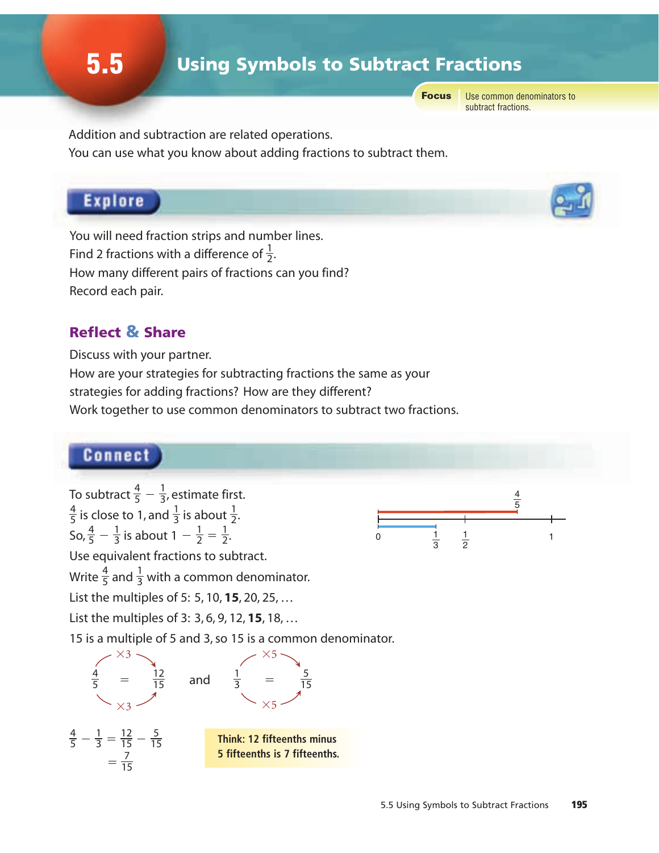Focus

Use common denominators to subtract fractions.

Addition and subtraction are related operations. You can use what you know about adding fractions to subtract them.

## Explore

You will need fraction strips and number lines. Find 2 fractions with a difference of  $\frac{1}{2}$ . How many different pairs of fractions can you find? Record each pair. 

## Reflect & Share

Discuss with your partner.

How are your strategies for subtracting fractions the same as your

strategies for adding fractions? How are they different?

Work together to use common denominators to subtract two fractions.

## Connect

To subtract  $\frac{4}{5} - \frac{1}{3}$ , estimate first. is close to 1, and  $\frac{1}{3}$  is about  $\frac{1}{2}$ . So,  $\frac{4}{5} - \frac{1}{3}$  is about  $1 - \frac{1}{2} = \frac{1}{2}$ . 

Use equivalent fractions to subtract.

Write  $\frac{4}{5}$  and  $\frac{1}{3}$  with a common denominator. 

List the multiples of 5: 5, 10, **15**, 20, 25, …

List the multiples of 3: 3, 6, 9, 12, **15**, 18, …

15 is a multiple of 5 and 3, so 15 is a common denominator.



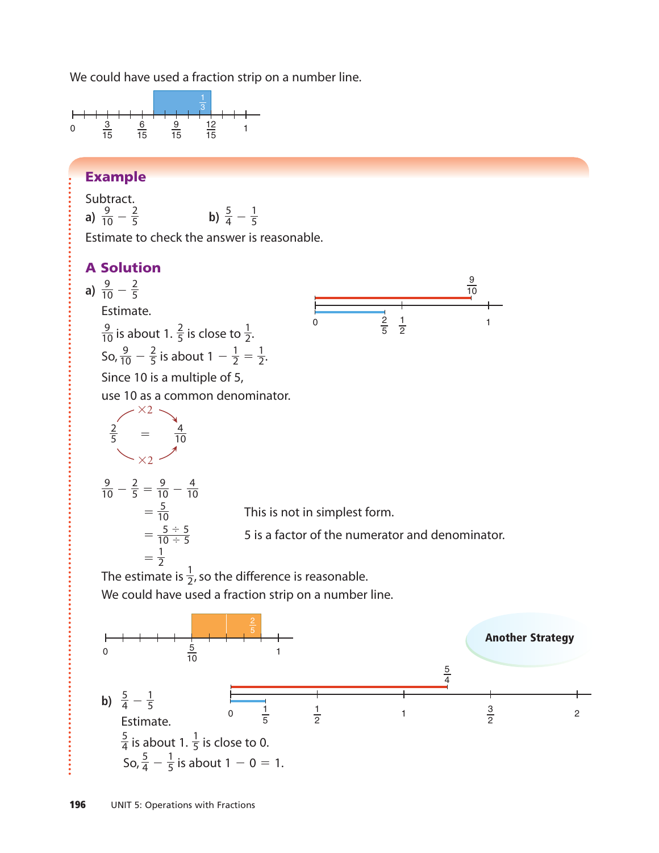We could have used a fraction strip on a number line.



#### Example

Subtract. a)  $\frac{9}{10} - \frac{2}{5}$  **b**)  $\frac{5}{4}$  -Estimate to check the answer is reasonable. 

### A Solution

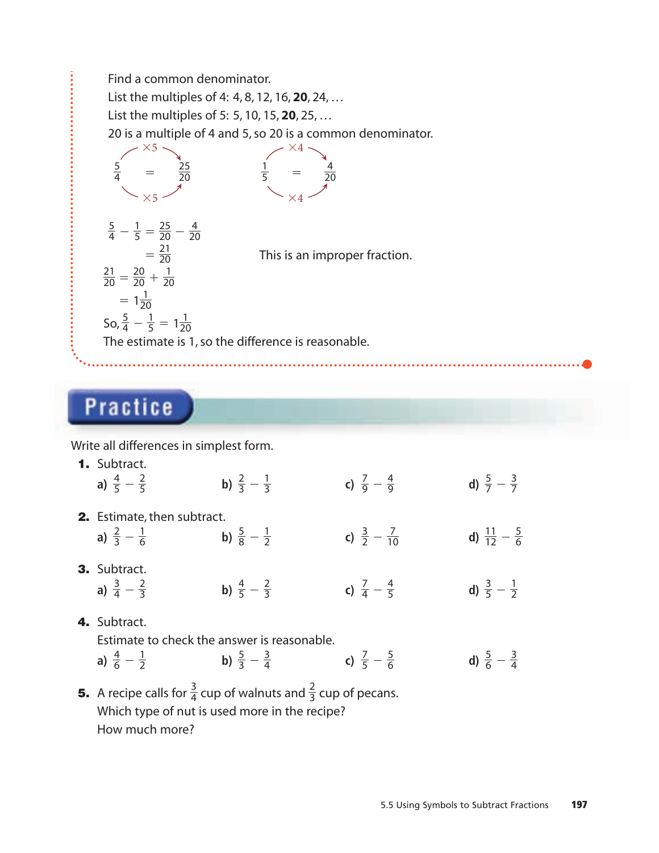

# **Practice**

Write all differences in simplest form.

| 1. Subtract.<br>a) $\frac{4}{5} - \frac{2}{5}$                                                | b) $\frac{2}{3} - \frac{1}{3}$                                                                                                              | c) $\frac{7}{9} - \frac{4}{9}$  | d) $\frac{5}{7} - \frac{3}{7}$   |
|-----------------------------------------------------------------------------------------------|---------------------------------------------------------------------------------------------------------------------------------------------|---------------------------------|----------------------------------|
| 2. Estimate, then subtract.<br>a) $\frac{2}{3} - \frac{1}{6}$                                 | b) $\frac{5}{8} - \frac{1}{2}$                                                                                                              | c) $\frac{3}{2} - \frac{7}{10}$ | d) $\frac{11}{12} - \frac{5}{6}$ |
| 3. Subtract.<br>a) $\frac{3}{4} - \frac{2}{3}$                                                | b) $\frac{4}{5} - \frac{2}{3}$                                                                                                              | c) $\frac{7}{4} - \frac{4}{5}$  | d) $\frac{3}{5} - \frac{1}{2}$   |
| 4. Subtract.<br>Estimate to check the answer is reasonable.<br>a) $\frac{4}{6} - \frac{1}{2}$ | b) $\frac{5}{3} - \frac{3}{4}$                                                                                                              | c) $\frac{7}{5} - \frac{5}{6}$  | d) $\frac{5}{6} - \frac{3}{4}$   |
|                                                                                               | <b>5.</b> A recipe calls for $\frac{3}{4}$ cup of walnuts and $\frac{2}{3}$ cup of pecans.<br>Which type of nut is used more in the recipe? |                                 |                                  |

How much more?